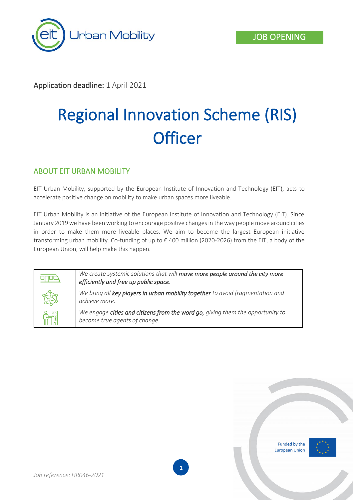

Application deadline: 1 April 2021

# Regional Innovation Scheme (RIS) **Officer**

## ABOUT EIT URBAN MOBILITY

EIT Urban Mobility, supported by the European Institute of Innovation and Technology (EIT), acts to accelerate positive change on mobility to make urban spaces more liveable.

EIT Urban Mobility is an initiative of the European Institute of Innovation and Technology (EIT). Since January 2019 we have been working to encourage positive changes in the way people move around cities in order to make them more liveable places. We aim to become the largest European initiative transforming urban mobility. Co-funding of up to € 400 million (2020-2026) from the EIT, a body of the European Union, will help make this happen.

| We create systemic solutions that will move more people around the city more<br>efficiently and free up public space. |
|-----------------------------------------------------------------------------------------------------------------------|
| We bring all key players in urban mobility together to avoid fragmentation and<br>achieve more.                       |
| We engage cities and citizens from the word go, giving them the opportunity to<br>become true agents of change.       |

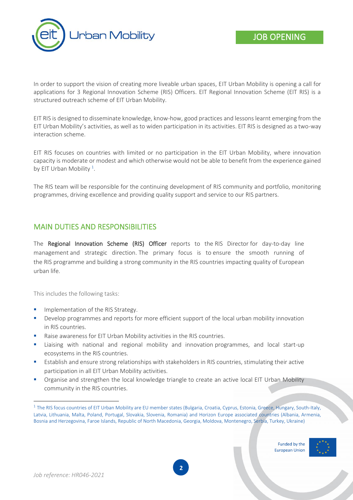

In order to support the vision of creating more liveable urban spaces, EIT Urban Mobility is opening a call for applications for 3 Regional Innovation Scheme (RIS) Officers. EIT Regional Innovation Scheme (EIT RIS) is a structured outreach scheme of EIT Urban Mobility.

EIT RIS is designed to disseminate knowledge, know-how, good practices and lessons learnt emerging from the EIT Urban Mobility's activities, as well as to widen participation in its activities. EIT RIS is designed as a two-way interaction scheme.

EIT RIS focuses on countries with limited or no participation in the EIT Urban Mobility, where innovation capacity is moderate or modest and which otherwise would not be able to benefit from the experience gained by EIT Urban Mobility <sup>1</sup>.

The RIS team will be responsible for the continuing development of RIS community and portfolio, monitoring programmes, driving excellence and providing quality support and service to our RIS partners.

### MAIN DUTIES AND RESPONSIBILITIES

The Regional Innovation Scheme (RIS) Officer reports to the RIS Director for day-to-day line management and strategic direction. The primary focus is to ensure the smooth running of the RIS programme and building a strong community in the RIS countries impacting quality of European urban life.

This includes the following tasks:

- Implementation of the RIS Strategy.
- **•** Develop programmes and reports for more efficient support of the local urban mobility innovation in RIS countries.
- Raise awareness for EIT Urban Mobility activities in the RIS countries.
- Liaising with national and regional mobility and innovation programmes, and local start-up ecosystems in the RIS countries.
- **■** Establish and ensure strong relationships with stakeholders in RIS countries, stimulating their active participation in all EIT Urban Mobility activities.
- Organise and strengthen the local knowledge triangle to create an active local EIT Urban Mobility community in the RIS countries.

Funded by the **European Union** 



<sup>&</sup>lt;sup>1</sup> The RIS focus countries of EIT Urban Mobility are EU member states (Bulgaria, Croatia, Cyprus, Estonia, Greece, Hungary, South-Italy, Latvia, Lithuania, Malta, Poland, Portugal, Slovakia, Slovenia, Romania) and Horizon Europe associated countries (Albania, Armenia, Bosnia and Herzegovina, Faroe Islands, Republic of North Macedonia, Georgia, Moldova, Montenegro, Serbia, Turkey, Ukraine)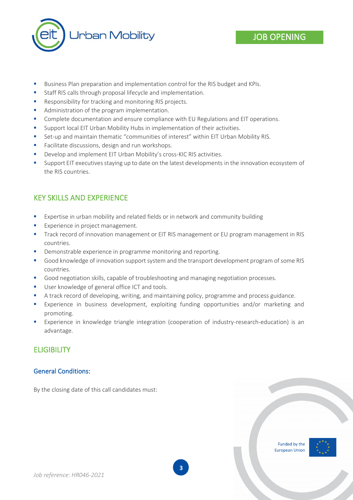

- **■** Business Plan preparation and implementation control for the RIS budget and KPIs.
- Staff RIS calls through proposal lifecycle and implementation.
- Responsibility for tracking and monitoring RIS projects.
- Administration of the program implementation.
- **•** Complete documentation and ensure compliance with EU Regulations and EIT operations.
- Support local EIT Urban Mobility Hubs in implementation of their activities.
- Set-up and maintain thematic "communities of interest" within EIT Urban Mobility RIS.
- Facilitate discussions, design and run workshops.
- Develop and implement EIT Urban Mobility's cross-KIC RIS activities.
- **EXECUTE:** Support EIT executives staying up to date on the latest developments in the innovation ecosystem of the RIS countries.

## KEY SKILLS AND EXPERIENCE

- Expertise in urban mobility and related fields or in network and community building
- **Experience in project management.**
- **•** Track record of innovation management or EIT RIS management or EU program management in RIS countries.
- Demonstrable experience in programme monitoring and reporting.
- Good knowledge of innovation support system and the transport development program of some RIS countries.
- Good negotiation skills, capable of troubleshooting and managing negotiation processes.
- User knowledge of general office ICT and tools.
- **E** A track record of developing, writing, and maintaining policy, programme and process guidance.
- Experience in business development, exploiting funding opportunities and/or marketing and promoting.
- Experience in knowledge triangle integration (cooperation of industry-research-education) is an advantage.

## **ELIGIBILITY**

#### General Conditions:

By the closing date of this call candidates must:

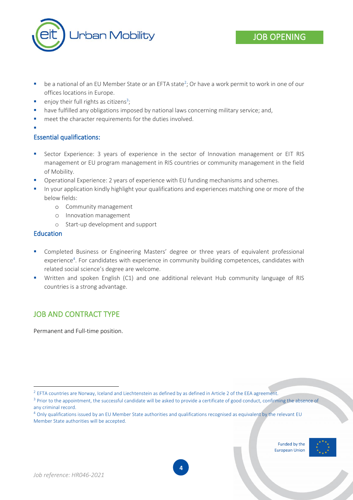

- $\blacksquare$  be a national of an EU Member State or an EFTA state<sup>2</sup>; Or have a work permit to work in one of our offices locations in Europe.
- **•** enjoy their full rights as citizens<sup>3</sup>;
- **■** have fulfilled any obligations imposed by national laws concerning military service; and,
- meet the character requirements for the duties involved.
- ▪

#### Essential qualifications:

- **EXECT** Sector Experience: 3 years of experience in the sector of Innovation management or EIT RIS management or EU program management in RIS countries or community management in the field of Mobility.
- Operational Experience: 2 years of experience with EU funding mechanisms and schemes.
- **■** In your application kindly highlight your qualifications and experiences matching one or more of the below fields:
	- o Community management
	- o Innovation management
	- o Start-up development and support

#### **Education**

- **•** Completed Business or Engineering Masters' degree or three years of equivalent professional experience<sup>4</sup>. For candidates with experience in community building competences, candidates with related social science's degree are welcome.
- Written and spoken English (C1) and one additional relevant Hub community language of RIS countries is a strong advantage.

## JOB AND CONTRACT TYPE

Permanent and Full-time position.

Funded by the **European Union** 

JOB OPENING



 $^2$  EFTA countries are Norway, Iceland and Liechtenstein as defined by as defined in Article 2 of the EEA agreement.

<sup>&</sup>lt;sup>3</sup> Prior to the appointment, the successful candidate will be asked to provide a certificate of good conduct, confirming the absence of any criminal record.

<sup>&</sup>lt;sup>4</sup> Only qualifications issued by an EU Member State authorities and qualifications recognised as equivalent by the relevant EU Member State authorities will be accepted.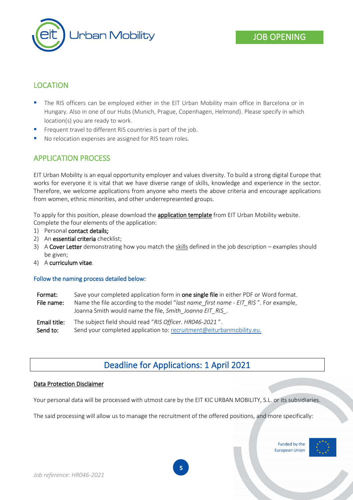

## LOCATION

- **■** The RIS officers can be employed either in the EIT Urban Mobility main office in Barcelona or in Hungary. Also in one of our Hubs (Munich, Prague, Copenhagen, Helmond). Please specify in which location(s) you are ready to work.
- Frequent travel to different RIS countries is part of the job.
- No relocation expenses are assigned for RIS team roles.

## APPLICATION PROCESS

EIT Urban Mobility is an equal opportunity employer and values diversity. To build a strong digital Europe that works for everyone it is vital that we have diverse range of skills, knowledge and experience in the sector. Therefore, we welcome applications from anyone who meets the above criteria and encourage applications from women, ethnic minorities, and other underrepresented groups.

To apply for this position, please download the application template from EIT Urban Mobility website. Complete the four elements of the application:

- 1) Personal contact details;
- 2) An essential criteria checklist;

3) A Cover Letter demonstrating how you match the skills defined in the job description – examples should be given;

4) A curriculum vitae.

#### Follow the naming process detailed below:

| Format:<br>File name: | Save your completed application form in one single file in either PDF or Word format.<br>Name the file according to the model "last name first name - EIT RIS". For example,<br>Joanna Smith would name the file, Smith Joanna EIT RIS. |
|-----------------------|-----------------------------------------------------------------------------------------------------------------------------------------------------------------------------------------------------------------------------------------|
| Email title:          | The subject field should read "RIS Officer. HR046-2021".                                                                                                                                                                                |
| Send to:              | Send your completed application to: recruitment@eiturbanmobility.eu.                                                                                                                                                                    |

## Deadline for Applications: 1 April 2021

#### Data Protection Disclaimer

Your personal data will be processed with utmost care by the EIT KIC URBAN MOBILITY, S.L. or its subsidiaries.

The said processing will allow us to manage the recruitment of the offered positions, and more specifically:

Funded by the **European Union**